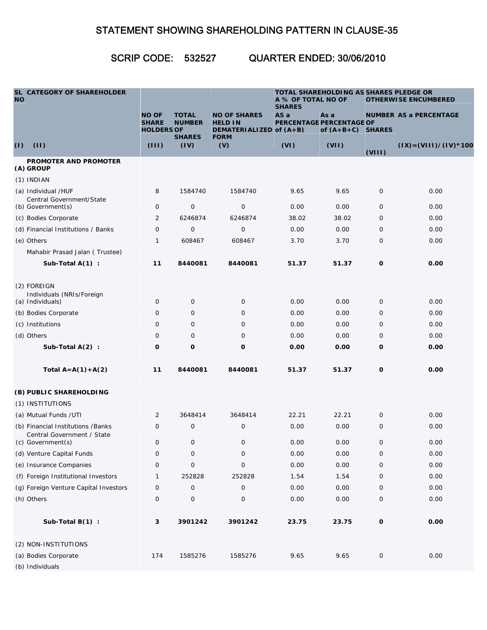## STATEMENT SHOWING SHAREHOLDING PATTERN IN CLAUSE-35

## SCRIP CODE: 532527 QUARTER ENDED: 30/06/2010

| <b>NO</b> | SL CATEGORY OF SHAREHOLDER                                       |                                                   |                                                |                                                                  | TOTAL SHAREHOLDING AS SHARES PLEDGE OR<br>A % OF TOTAL NO OF<br><b>OTHERWISE ENCUMBERED</b><br><b>SHARES</b> |                                                         |                     |                               |
|-----------|------------------------------------------------------------------|---------------------------------------------------|------------------------------------------------|------------------------------------------------------------------|--------------------------------------------------------------------------------------------------------------|---------------------------------------------------------|---------------------|-------------------------------|
|           |                                                                  | <b>NO OF</b><br><b>SHARE</b><br><b>HOLDERS OF</b> | <b>TOTAL</b><br><b>NUMBER</b><br><b>SHARES</b> | <b>NO OF SHARES</b><br><b>HELD IN</b><br>DEMATERIALIZED of (A+B) | AS a                                                                                                         | As a<br>PERCENTAGE PERCENTAGE OF<br>of $(A+B+C)$ SHARES |                     | <b>NUMBER AS a PERCENTAGE</b> |
| (1)       | (11)                                                             | (III)                                             | (IV)                                           | <b>FORM</b><br>(V)                                               | (VI)                                                                                                         | (VII)                                                   | (VIII)              | $(IX) = (VII1) / (IV) * 100$  |
|           | <b>PROMOTER AND PROMOTER</b><br>(A) GROUP                        |                                                   |                                                |                                                                  |                                                                                                              |                                                         |                     |                               |
|           | $(1)$ INDIAN                                                     |                                                   |                                                |                                                                  |                                                                                                              |                                                         |                     |                               |
|           | (a) Individual /HUF<br>Central Government/State                  | 8                                                 | 1584740                                        | 1584740                                                          | 9.65                                                                                                         | 9.65                                                    | 0                   | 0.00                          |
|           | (b) Government(s)                                                | 0                                                 | $\mathbf 0$                                    | $\mathsf{O}$                                                     | 0.00                                                                                                         | 0.00                                                    | 0                   | 0.00                          |
|           | (c) Bodies Corporate                                             | 2                                                 | 6246874                                        | 6246874                                                          | 38.02                                                                                                        | 38.02                                                   | 0                   | 0.00                          |
|           | (d) Financial Institutions / Banks                               | 0                                                 | $\mathbf 0$                                    | 0                                                                | 0.00                                                                                                         | 0.00                                                    | $\mathbf 0$         | 0.00                          |
|           | (e) Others                                                       | $\mathbf{1}$                                      | 608467                                         | 608467                                                           | 3.70                                                                                                         | 3.70                                                    | $\mathbf 0$         | 0.00                          |
|           | Mahabir Prasad Jalan (Trustee)                                   |                                                   |                                                |                                                                  |                                                                                                              |                                                         |                     |                               |
|           | Sub-Total $A(1)$ :                                               | 11                                                | 8440081                                        | 8440081                                                          | 51.37                                                                                                        | 51.37                                                   | 0                   | 0.00                          |
|           | (2) FOREIGN<br>Individuals (NRIs/Foreign                         |                                                   |                                                |                                                                  |                                                                                                              |                                                         |                     |                               |
|           | (a) Individuals)                                                 | 0                                                 | 0                                              | 0                                                                | 0.00                                                                                                         | 0.00                                                    | 0                   | 0.00                          |
|           | (b) Bodies Corporate                                             | 0                                                 | 0                                              | 0                                                                | 0.00                                                                                                         | 0.00                                                    | 0                   | 0.00                          |
|           | (c) Institutions                                                 | $\mathbf 0$                                       | 0                                              | $\mathbf{O}$                                                     | 0.00                                                                                                         | 0.00                                                    | $\mathbf 0$         | 0.00                          |
|           | (d) Others                                                       | 0                                                 | $\mathbf 0$                                    | $\mathbf{O}$                                                     | 0.00                                                                                                         | 0.00                                                    | $\mathbf 0$         | 0.00                          |
|           | Sub-Total $A(2)$ :                                               | O                                                 | 0                                              | O                                                                | 0.00                                                                                                         | 0.00                                                    | O                   | 0.00                          |
|           | Total $A=A(1)+A(2)$                                              | 11                                                | 8440081                                        | 8440081                                                          | 51.37                                                                                                        | 51.37                                                   | $\mathbf 0$         | 0.00                          |
|           | (B) PUBLIC SHAREHOLDING                                          |                                                   |                                                |                                                                  |                                                                                                              |                                                         |                     |                               |
|           | (1) INSTITUTIONS                                                 |                                                   |                                                |                                                                  |                                                                                                              |                                                         |                     |                               |
|           | (a) Mutual Funds / UTI                                           | 2                                                 | 3648414                                        | 3648414                                                          | 22.21                                                                                                        | 22.21                                                   | 0                   | 0.00                          |
|           | (b) Financial Institutions / Banks<br>Central Government / State | $\mathbf 0$                                       | $\mathbf 0$                                    | $\mathsf{O}$                                                     | 0.00                                                                                                         | 0.00                                                    | $\mathbf 0$         | 0.00                          |
|           | (c) Government(s)                                                | $\mathsf O$                                       | $\overline{0}$                                 | $\mathsf{O}$                                                     | $0.00\,$                                                                                                     | 0.00                                                    | $\mathsf O$         | $0.00\,$                      |
|           | (d) Venture Capital Funds                                        | 0                                                 | 0                                              | 0                                                                | 0.00                                                                                                         | 0.00                                                    | $\mathbf 0$         | 0.00                          |
|           | (e) Insurance Companies                                          | $\mathsf O$                                       | 0                                              | $\mathsf{O}\xspace$                                              | 0.00                                                                                                         | 0.00                                                    | $\mathsf{O}\xspace$ | 0.00                          |
|           | (f) Foreign Institutional Investors                              | 1                                                 | 252828                                         | 252828                                                           | 1.54                                                                                                         | 1.54                                                    | $\mathbf 0$         | 0.00                          |
|           | (g) Foreign Venture Capital Investors                            | 0                                                 | 0                                              | 0                                                                | 0.00                                                                                                         | 0.00                                                    | $\mathbf 0$         | 0.00                          |
|           | (h) Others                                                       | $\mathsf O$                                       | $\mathsf{O}\xspace$                            | 0                                                                | 0.00                                                                                                         | 0.00                                                    | $\mathbf 0$         | 0.00                          |
|           | Sub-Total $B(1)$ :                                               | $\mathbf{3}$                                      | 3901242                                        | 3901242                                                          | 23.75                                                                                                        | 23.75                                                   | $\mathbf 0$         | 0.00                          |
|           | (2) NON-INSTITUTIONS                                             |                                                   |                                                |                                                                  |                                                                                                              |                                                         |                     |                               |
|           | (a) Bodies Corporate                                             | 174                                               | 1585276                                        | 1585276                                                          | 9.65                                                                                                         | 9.65                                                    | $\mathsf{O}\xspace$ | 0.00                          |
|           | (b) Individuals                                                  |                                                   |                                                |                                                                  |                                                                                                              |                                                         |                     |                               |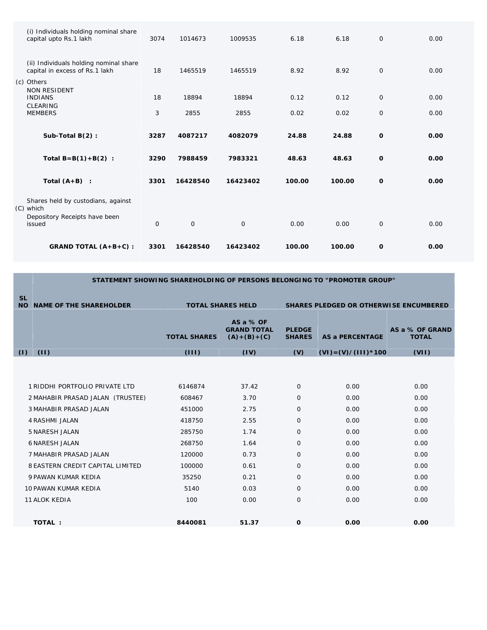| GRAND TOTAL (A+B+C) :                                                                      | 3301        | 16428540    | 16423402 | 100.00 | 100.00 | $\mathbf 0$  | 0.00 |
|--------------------------------------------------------------------------------------------|-------------|-------------|----------|--------|--------|--------------|------|
| Shares held by custodians, against<br>(C) which<br>Depository Receipts have been<br>issued | $\mathbf 0$ | $\mathsf O$ | 0        | 0.00   | 0.00   | $\mathbf 0$  | 0.00 |
| Total $(A+B)$ :                                                                            | 3301        | 16428540    | 16423402 | 100.00 | 100.00 | $\mathbf 0$  | 0.00 |
| Total $B=B(1)+B(2)$ :                                                                      | 3290        | 7988459     | 7983321  | 48.63  | 48.63  | 0            | 0.00 |
| Sub-Total $B(2)$ :                                                                         | 3287        | 4087217     | 4082079  | 24.88  | 24.88  | $\mathbf 0$  | 0.00 |
| <b>CLEARING</b><br><b>MEMBERS</b>                                                          | 3           | 2855        | 2855     | 0.02   | 0.02   | $\mathbf{O}$ | 0.00 |
| (c) Others<br><b>NON RESIDENT</b><br><b>INDIANS</b>                                        | 18          | 18894       | 18894    | 0.12   | 0.12   | $\mathbf 0$  | 0.00 |
| (ii) Individuals holding nominal share<br>capital in excess of Rs.1 lakh                   | 18          | 1465519     | 1465519  | 8.92   | 8.92   | 0            | 0.00 |
| (i) Individuals holding nominal share<br>capital upto Rs.1 lakh                            | 3074        | 1014673     | 1009535  | 6.18   | 6.18   | $\mathbf{O}$ | 0.00 |

|                        | STATEMENT SHOWING SHAREHOLDING OF PERSONS BELONGING TO "PROMOTER GROUP" |                          |                                               |                                               |                            |                                 |  |
|------------------------|-------------------------------------------------------------------------|--------------------------|-----------------------------------------------|-----------------------------------------------|----------------------------|---------------------------------|--|
| <b>SL</b><br><b>NO</b> | <b>NAME OF THE SHAREHOLDER</b>                                          | <b>TOTAL SHARES HELD</b> |                                               | <b>SHARES PLEDGED OR OTHERWISE ENCUMBERED</b> |                            |                                 |  |
|                        |                                                                         | <b>TOTAL SHARES</b>      | ASa%OF<br><b>GRAND TOTAL</b><br>$(A)+(B)+(C)$ | <b>PLEDGE</b><br><b>SHARES</b>                | <b>AS a PERCENTAGE</b>     | AS a % OF GRAND<br><b>TOTAL</b> |  |
| (1)                    | (11)                                                                    | (III)                    | (IV)                                          | (V)                                           | $(VI) = (V) / (III) * 100$ | (VII)                           |  |
|                        | 1 RIDDHI PORTFOLIO PRIVATE LTD                                          | 6146874                  | 37.42                                         | $\mathbf 0$                                   | 0.00                       | 0.00                            |  |
|                        |                                                                         |                          |                                               |                                               |                            |                                 |  |
|                        | 2 MAHABIR PRASAD JALAN (TRUSTEE)                                        | 608467                   | 3.70                                          | $\mathbf 0$                                   | 0.00                       | 0.00                            |  |
|                        | 3 MAHABIR PRASAD JALAN                                                  | 451000                   | 2.75                                          | 0                                             | 0.00                       | 0.00                            |  |
|                        | <b>4 RASHMI JALAN</b>                                                   | 418750                   | 2.55                                          | $\mathbf 0$                                   | 0.00                       | 0.00                            |  |
|                        | <b>5 NARESH JALAN</b>                                                   | 285750                   | 1.74                                          | $\mathbf 0$                                   | 0.00                       | 0.00                            |  |
|                        | <b>6 NARESH JALAN</b>                                                   | 268750                   | 1.64                                          | 0                                             | 0.00                       | 0.00                            |  |
|                        | 7 MAHABIR PRASAD JALAN                                                  | 120000                   | 0.73                                          | $\mathbf 0$                                   | 0.00                       | 0.00                            |  |
|                        | 8 EASTERN CREDIT CAPITAL LIMITED                                        | 100000                   | 0.61                                          | $\Omega$                                      | 0.00                       | 0.00                            |  |
|                        | 9 PAWAN KUMAR KEDIA                                                     | 35250                    | 0.21                                          | $\mathbf 0$                                   | 0.00                       | 0.00                            |  |
|                        | 10 PAWAN KUMAR KEDIA                                                    | 5140                     | 0.03                                          | $\Omega$                                      | 0.00                       | 0.00                            |  |
|                        | <b>11 ALOK KEDIA</b>                                                    | 100                      | 0.00                                          | $\mathbf 0$                                   | 0.00                       | 0.00                            |  |
|                        |                                                                         |                          |                                               |                                               |                            |                                 |  |
|                        | TOTAL:                                                                  | 8440081                  | 51.37                                         | 0                                             | 0.00                       | 0.00                            |  |